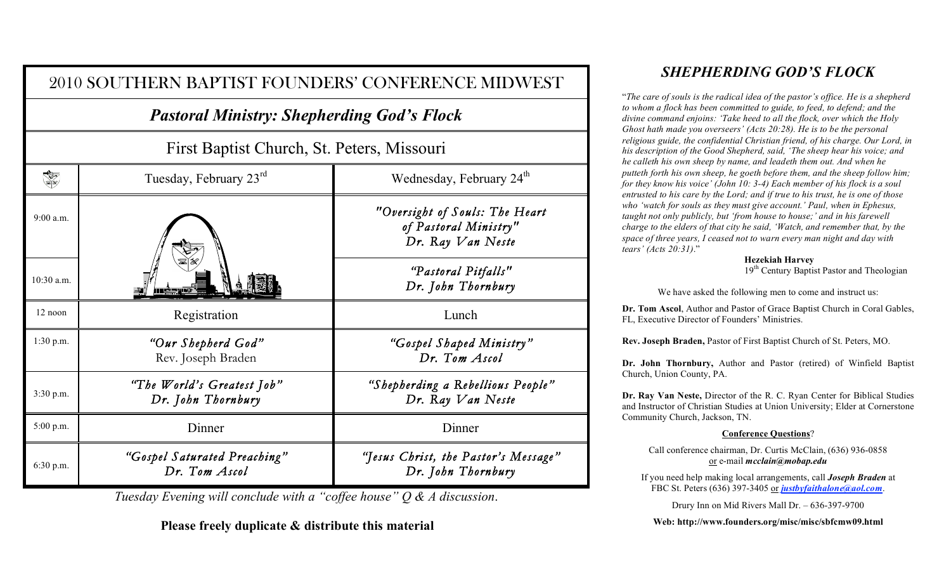|                                                                                                 | 2010 SOUTHERN BAPTIST FOUNDERS' CONFERENCE MIDWEST |                                                                              |  |  |
|-------------------------------------------------------------------------------------------------|----------------------------------------------------|------------------------------------------------------------------------------|--|--|
| <b>Pastoral Ministry: Shepherding God's Flock</b><br>First Baptist Church, St. Peters, Missouri |                                                    |                                                                              |  |  |
|                                                                                                 |                                                    |                                                                              |  |  |
| 9:00 a.m.                                                                                       |                                                    | "Oversight of Souls: The Heart<br>of Pastoral Ministry"<br>Dr. Ray Van Neste |  |  |
| 10:30 a.m.                                                                                      |                                                    | "Pastoral Pitfalls"<br>Dr. John Thornbury                                    |  |  |
| $12$ noon                                                                                       | Registration                                       | Lunch                                                                        |  |  |
| 1:30 p.m.                                                                                       | "Our Shepherd God"<br>Rev. Joseph Braden           | "Gospel Shaped Ministry"<br>Dr. Tom Ascol                                    |  |  |
| 3:30 p.m.                                                                                       | "The World's Greatest Job"<br>Dr. John Thornbury   | "Shepherding a Rebellious People"<br>Dr. Ray Van Neste                       |  |  |
| 5:00 p.m.                                                                                       | Dinner                                             | Dinner                                                                       |  |  |
| 6:30 p.m.                                                                                       | "Gospel Saturated Preaching"<br>Dr. Tom Ascol      | "Jesus Christ, the Pastor's Message"<br>Dr. John Thornbury                   |  |  |

*Tuesday Evening will conclude with a "coffee house" Q & A discussion*.

**Please freely duplicate & distribute this material**

## *SHEPHERDING GOD'S FLOCK*

"*The care of souls is the radical idea of the pastor's office. He is a shepherd to whom a flock has been committed to guide, to feed, to defend; and the divine command enjoins: 'Take heed to all the flock, over which the Holy Ghost hath made you overseers' (Acts 20:28). He is to be the personal religious guide, the confidential Christian friend, of his charge. Our Lord, in his description of the Good Shepherd, said, 'The sheep hear his voice; and he calleth his own sheep by name, and leadeth them out. And when he putteth forth his own sheep, he goeth before them, and the sheep follow him; for they know his voice' (John 10: 3-4) Each member of his flock is a soul entrusted to his care by the Lord; and if true to his trust, he is one of those who 'watch for souls as they must give account.' Paul, when in Ephesus, taught not only publicly, but 'from house to house;' and in his farewell charge to the elders of that city he said, 'Watch, and remember that, by the space of three years, I ceased not to warn every man night and day with tears' (Acts 20:31)*."

**Hezekiah Harvey**

19<sup>th</sup> Century Baptist Pastor and Theologian

We have asked the following men to come and instruct us:

**Dr. Tom Ascol**, Author and Pastor of Grace Baptist Church in Coral Gables, FL, Executive Director of Founders' Ministries.

**Rev. Joseph Braden,** Pastor of First Baptist Church of St. Peters, MO.

**Dr. John Thornbury,** Author and Pastor (retired) of Winfield Baptist Church, Union County, PA.

**Dr. Ray Van Neste,** Director of the R. C. Ryan Center for Biblical Studies and Instructor of Christian Studies at Union University; Elder at Cornerstone Community Church, Jackson, TN.

## **Conference Questions**?

Call conference chairman, Dr. Curtis McClain, (636) 936-0858 or e-mail *mcclain@mobap.edu*

If you need help making local arrangements, call *Joseph Braden* at FBC St. Peters (636) 397-3405 or *justbyfaithalone@aol.com*.

Drury Inn on Mid Rivers Mall Dr. – 636-397-9700

**Web: http://www.founders.org/misc/misc/sbfcmw09.html**